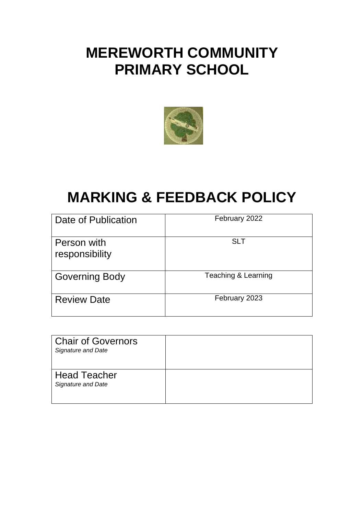# **MEREWORTH COMMUNITY PRIMARY SCHOOL**



# **MARKING & FEEDBACK POLICY**

| Date of Publication           | February 2022       |
|-------------------------------|---------------------|
| Person with<br>responsibility | <b>SLT</b>          |
| <b>Governing Body</b>         | Teaching & Learning |
| <b>Review Date</b>            | February 2023       |

| <b>Chair of Governors</b><br><b>Signature and Date</b> |  |
|--------------------------------------------------------|--|
| <b>Head Teacher</b><br><b>Signature and Date</b>       |  |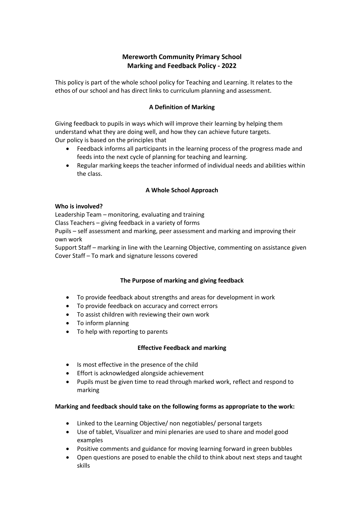# **Mereworth Community Primary School Marking and Feedback Policy - 2022**

This policy is part of the whole school policy for Teaching and Learning. It relates to the ethos of our school and has direct links to curriculum planning and assessment.

### **A Definition of Marking**

Giving feedback to pupils in ways which will improve their learning by helping them understand what they are doing well, and how they can achieve future targets. Our policy is based on the principles that

- Feedback informs all participants in the learning process of the progress made and feeds into the next cycle of planning for teaching and learning.
- Regular marking keeps the teacher informed of individual needs and abilities within the class.

#### **A Whole School Approach**

#### **Who is involved?**

Leadership Team – monitoring, evaluating and training Class Teachers – giving feedback in a variety of forms Pupils – self assessment and marking, peer assessment and marking and improving their own work

Support Staff – marking in line with the Learning Objective, commenting on assistance given Cover Staff – To mark and signature lessons covered

#### **The Purpose of marking and giving feedback**

- To provide feedback about strengths and areas for development in work
- To provide feedback on accuracy and correct errors
- To assist children with reviewing their own work
- To inform planning
- To help with reporting to parents

#### **Effective Feedback and marking**

- Is most effective in the presence of the child
- Effort is acknowledged alongside achievement
- Pupils must be given time to read through marked work, reflect and respond to marking

#### **Marking and feedback should take on the following forms as appropriate to the work:**

- Linked to the Learning Objective/ non negotiables/ personal targets
- Use of tablet, Visualizer and mini plenaries are used to share and model good examples
- Positive comments and guidance for moving learning forward in green bubbles
- Open questions are posed to enable the child to think about next steps and taught skills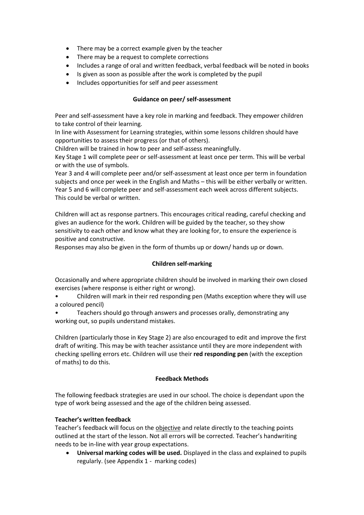- There may be a correct example given by the teacher
- There may be a request to complete corrections
- Includes a range of oral and written feedback, verbal feedback will be noted in books
- Is given as soon as possible after the work is completed by the pupil
- Includes opportunities for self and peer assessment

# **Guidance on peer/ self-assessment**

Peer and self-assessment have a key role in marking and feedback. They empower children to take control of their learning.

In line with Assessment for Learning strategies, within some lessons children should have opportunities to assess their progress (or that of others).

Children will be trained in how to peer and self-assess meaningfully.

Key Stage 1 will complete peer or self-assessment at least once per term. This will be verbal or with the use of symbols.

Year 3 and 4 will complete peer and/or self-assessment at least once per term in foundation subjects and once per week in the English and Maths – this will be either verbally or written. Year 5 and 6 will complete peer and self-assessment each week across different subjects. This could be verbal or written.

Children will act as response partners. This encourages critical reading, careful checking and gives an audience for the work. Children will be guided by the teacher, so they show sensitivity to each other and know what they are looking for, to ensure the experience is positive and constructive.

Responses may also be given in the form of thumbs up or down/ hands up or down.

# **Children self-marking**

Occasionally and where appropriate children should be involved in marking their own closed exercises (where response is either right or wrong).

• Children will mark in their red responding pen (Maths exception where they will use a coloured pencil)

• Teachers should go through answers and processes orally, demonstrating any working out, so pupils understand mistakes.

Children (particularly those in Key Stage 2) are also encouraged to edit and improve the first draft of writing. This may be with teacher assistance until they are more independent with checking spelling errors etc. Children will use their **red responding pen** (with the exception of maths) to do this.

# **Feedback Methods**

The following feedback strategies are used in our school. The choice is dependant upon the type of work being assessed and the age of the children being assessed.

# **Teacher's written feedback**

Teacher's feedback will focus on the objective and relate directly to the teaching points outlined at the start of the lesson. Not all errors will be corrected. Teacher's handwriting needs to be in-line with year group expectations.

 **Universal marking codes will be used.** Displayed in the class and explained to pupils regularly. (see Appendix 1 - marking codes)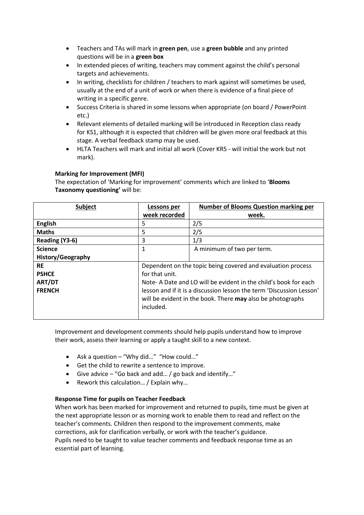- Teachers and TAs will mark in **green pen**, use a **green bubble** and any printed questions will be in a **green box**
- In extended pieces of writing, teachers may comment against the child's personal targets and achievements.
- In writing, checklists for children / teachers to mark against will sometimes be used, usually at the end of a unit of work or when there is evidence of a final piece of writing in a specific genre.
- Success Criteria is shared in some lessons when appropriate (on board / PowerPoint etc.)
- Relevant elements of detailed marking will be introduced in Reception class ready for KS1, although it is expected that children will be given more oral feedback at this stage. A verbal feedback stamp may be used.
- HLTA Teachers will mark and initial all work (Cover KR5 will initial the work but not mark).

# **Marking for Improvement (MFI)**

The expectation of 'Marking for improvement' comments which are linked to '**Blooms Taxonomy questioning'** will be:

| <b>Subject</b>    | Lessons per                                                          | <b>Number of Blooms Question marking per</b> |
|-------------------|----------------------------------------------------------------------|----------------------------------------------|
|                   | week recorded                                                        | week.                                        |
| <b>English</b>    | 5                                                                    | 2/5                                          |
| <b>Maths</b>      | 5                                                                    | 2/5                                          |
| Reading (Y3-6)    | 3                                                                    | 1/3                                          |
| <b>Science</b>    | 1                                                                    | A minimum of two per term.                   |
| History/Geography |                                                                      |                                              |
| <b>RE</b>         | Dependent on the topic being covered and evaluation process          |                                              |
| <b>PSHCE</b>      | for that unit.                                                       |                                              |
| <b>ART/DT</b>     | Note-A Date and LO will be evident in the child's book for each      |                                              |
| <b>FRENCH</b>     | lesson and if it is a discussion lesson the term 'Discussion Lesson' |                                              |
|                   | will be evident in the book. There <b>may</b> also be photographs    |                                              |
|                   | included.                                                            |                                              |
|                   |                                                                      |                                              |

Improvement and development comments should help pupils understand how to improve their work, assess their learning or apply a taught skill to a new context.

- Ask a question "Why did..." "How could..."
- Get the child to rewrite a sentence to improve.
- Give advice "Go back and add… / go back and identify…"
- Rework this calculation… / Explain why…

#### **Response Time for pupils on Teacher Feedback**

When work has been marked for improvement and returned to pupils, time must be given at the next appropriate lesson or as morning work to enable them to read and reflect on the teacher's comments. Children then respond to the improvement comments, make corrections, ask for clarification verbally, or work with the teacher's guidance. Pupils need to be taught to value teacher comments and feedback response time as an essential part of learning.